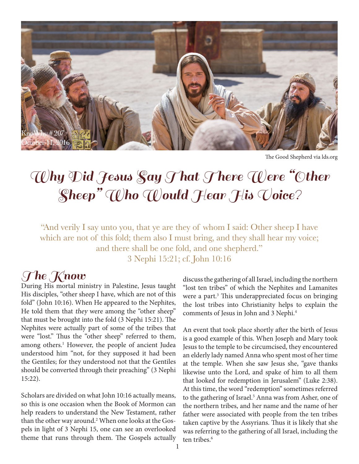

The Good Shepherd via lds.org

# Why Did Jesus Say That There Were "Other Sheep" Who Would Hear His Voice?

"And verily I say unto you, that ye are they of whom I said: Other sheep I have which are not of this fold; them also I must bring, and they shall hear my voice; and there shall be one fold, and one shepherd." 3 Nephi 15:21; cf. John 10:16

#### The Know

During His mortal ministry in Palestine, Jesus taught His disciples, "other sheep I have, which are not of this fold" (John 10:16). When He appeared to the Nephites, He told them that they were among the "other sheep" that must be brought into the fold (3 Nephi 15:21). The Nephites were actually part of some of the tribes that were "lost." Thus the "other sheep" referred to them, among others.<sup>1</sup> However, the people of ancient Judea understood him "not, for they supposed it had been the Gentiles; for they understood not that the Gentiles should be converted through their preaching" (3 Nephi 15:22).

Scholars are divided on what John 10:16 actually means, so this is one occasion when the Book of Mormon can help readers to understand the New Testament, rather than the other way around.<sup>2</sup> When one looks at the Gospels in light of 3 Nephi 15, one can see an overlooked theme that runs through them. The Gospels actually discuss the gathering of all Israel, including the northern "lost ten tribes" of which the Nephites and Lamanites were a part.<sup>3</sup> This underappreciated focus on bringing the lost tribes into Christianity helps to explain the comments of Jesus in John and 3 Nephi.4

An event that took place shortly after the birth of Jesus is a good example of this. When Joseph and Mary took Jesus to the temple to be circumcised, they encountered an elderly lady named Anna who spent most of her time at the temple. When she saw Jesus she, "gave thanks likewise unto the Lord, and spake of him to all them that looked for redemption in Jerusalem" (Luke 2:38). At this time, the word "redemption" sometimes referred to the gathering of Israel.<sup>5</sup> Anna was from Asher, one of the northern tribes, and her name and the name of her father were associated with people from the ten tribes taken captive by the Assyrians. Thus it is likely that she was referring to the gathering of all Israel, including the ten tribes.<sup>6</sup>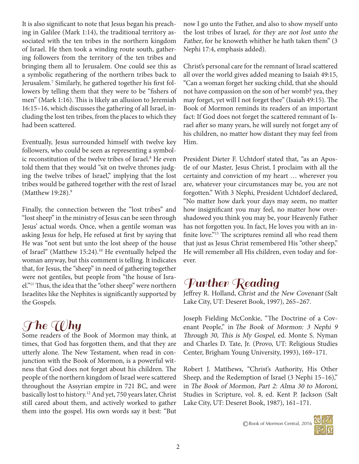It is also significant to note that Jesus began his preaching in Galilee (Mark 1:14), the traditional territory associated with the ten tribes in the northern kingdom of Israel. He then took a winding route south, gathering followers from the territory of the ten tribes and bringing them all to Jerusalem. One could see this as a symbolic regathering of the northern tribes back to Jerusalem.<sup>7</sup> Similarly, he gathered together his first followers by telling them that they were to be "fishers of men" (Mark 1:16). This is likely an allusion to Jeremiah 16:15–16, which discusses the gathering of all Israel, including the lost ten tribes, from the places to which they had been scattered.

Eventually, Jesus surrounded himself with twelve key followers, who could be seen as representing a symbolic reconstitution of the twelve tribes of Israel.8 He even told them that they would "sit on twelve thrones judging the twelve tribes of Israel," implying that the lost tribes would be gathered together with the rest of Israel (Matthew 19:28).<sup>9</sup>

Finally, the connection between the "lost tribes" and "lost sheep" in the ministry of Jesus can be seen through Jesus' actual words. Once, when a gentile woman was asking Jesus for help, He refused at first by saying that He was "not sent but unto the lost sheep of the house of Israel" (Matthew 15:24).<sup>10</sup> He eventually helped the woman anyway, but this comment is telling. It indicates that, for Jesus, the "sheep" in need of gathering together were not gentiles, but people from "the house of Israel."11 Thus, the idea that the "other sheep" were northern Israelites like the Nephites is significantly supported by the Gospels.

# $\mathcal{T}$ he Why

Some readers of the Book of Mormon may think, at times, that God has forgotten them, and that they are utterly alone. The New Testament, when read in conjunction with the Book of Mormon, is a powerful witness that God does not forget about his children. The people of the northern kingdom of Israel were scattered throughout the Assyrian empire in 721 BC, and were basically lost to history.12 And yet, 750 years later, Christ still cared about them, and actively worked to gather them into the gospel. His own words say it best: "But now I go unto the Father, and also to show myself unto the lost tribes of Israel, for they are not lost unto the Father, for he knoweth whither he hath taken them" (3 Nephi 17:4, emphasis added).

Christ's personal care for the remnant of Israel scattered all over the world gives added meaning to Isaiah 49:15, "Can a woman forget her sucking child, that she should not have compassion on the son of her womb? yea, they may forget, yet will I not forget thee" (Isaiah 49:15). The Book of Mormon reminds its readers of an important fact: If God does not forget the scattered remnant of Israel after so many years, he will surely not forget any of his children, no matter how distant they may feel from Him.

President Dieter F. Uchtdorf stated that, "as an Apostle of our Master, Jesus Christ, I proclaim with all the certainty and conviction of my heart … wherever you are, whatever your circumstances may be, you are not forgotten." With 3 Nephi, President Uchtdorf declared, "No matter how dark your days may seem, no matter how insignificant you may feel, no matter how overshadowed you think you may be, your Heavenly Father has not forgotten you. In fact, He loves you with an infinite love."13 The scriptures remind all who read them that just as Jesus Christ remembered His "other sheep," He will remember all His children, even today and forever.

### Further Reading

Jeffrey R. Holland, Christ and the New Covenant (Salt Lake City, UT: Deseret Book, 1997), 265–267.

Joseph Fielding McConkie, "The Doctrine of a Covenant People," in The Book of Mormon: 3 Nephi 9 Through 30, This is My Gospel, ed. Monte S. Nyman and Charles D. Tate, Jr. (Provo, UT: Religious Studies Center, Brigham Young University, 1993), 169–171.

Robert J. Matthews, "Christ's Authority, His Other Sheep, and the Redemption of Israel (3 Nephi 15–16)," in The Book of Mormon, Part 2: Alma 30 to Moroni, Studies in Scripture, vol. 8, ed. Kent P. Jackson (Salt Lake City, UT: Deseret Book, 1987), 161–171.